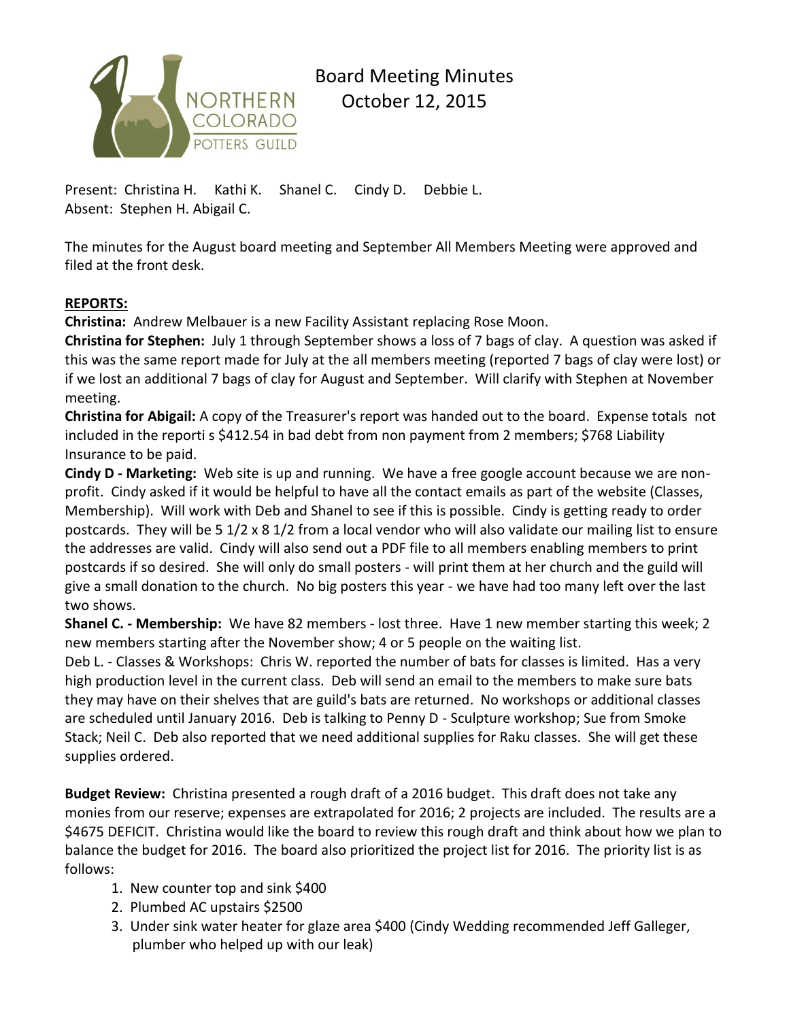

## Board Meeting Minutes October 12, 2015

Present: Christina H. Kathi K. Shanel C. Cindy D. Debbie L. Absent: Stephen H. Abigail C.

The minutes for the August board meeting and September All Members Meeting were approved and filed at the front desk.

## **REPORTS:**

**Christina:** Andrew Melbauer is a new Facility Assistant replacing Rose Moon.

**Christina for Stephen:** July 1 through September shows a loss of 7 bags of clay. A question was asked if this was the same report made for July at the all members meeting (reported 7 bags of clay were lost) or if we lost an additional 7 bags of clay for August and September. Will clarify with Stephen at November meeting.

**Christina for Abigail:** A copy of the Treasurer's report was handed out to the board. Expense totals not included in the reporti s \$412.54 in bad debt from non payment from 2 members; \$768 Liability Insurance to be paid.

**Cindy D - Marketing:** Web site is up and running. We have a free google account because we are nonprofit. Cindy asked if it would be helpful to have all the contact emails as part of the website (Classes, Membership). Will work with Deb and Shanel to see if this is possible. Cindy is getting ready to order postcards. They will be 5 1/2 x 8 1/2 from a local vendor who will also validate our mailing list to ensure the addresses are valid. Cindy will also send out a PDF file to all members enabling members to print postcards if so desired. She will only do small posters - will print them at her church and the guild will give a small donation to the church. No big posters this year - we have had too many left over the last two shows.

**Shanel C. - Membership:** We have 82 members - lost three. Have 1 new member starting this week; 2 new members starting after the November show; 4 or 5 people on the waiting list.

Deb L. - Classes & Workshops: Chris W. reported the number of bats for classes is limited. Has a very high production level in the current class. Deb will send an email to the members to make sure bats they may have on their shelves that are guild's bats are returned. No workshops or additional classes are scheduled until January 2016. Deb is talking to Penny D - Sculpture workshop; Sue from Smoke Stack; Neil C. Deb also reported that we need additional supplies for Raku classes. She will get these supplies ordered.

**Budget Review:** Christina presented a rough draft of a 2016 budget. This draft does not take any monies from our reserve; expenses are extrapolated for 2016; 2 projects are included. The results are a \$4675 DEFICIT. Christina would like the board to review this rough draft and think about how we plan to balance the budget for 2016. The board also prioritized the project list for 2016. The priority list is as follows:

- 1. New counter top and sink \$400
- 2. Plumbed AC upstairs \$2500
- 3. Under sink water heater for glaze area \$400 (Cindy Wedding recommended Jeff Galleger, plumber who helped up with our leak)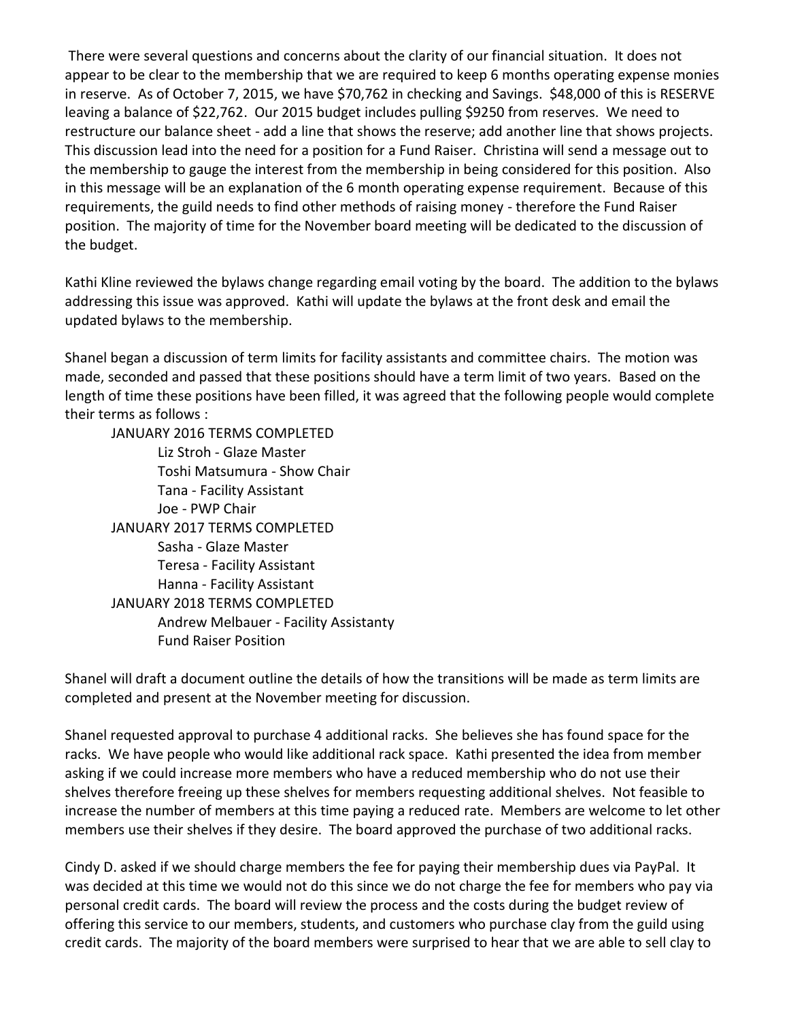There were several questions and concerns about the clarity of our financial situation. It does not appear to be clear to the membership that we are required to keep 6 months operating expense monies in reserve. As of October 7, 2015, we have \$70,762 in checking and Savings. \$48,000 of this is RESERVE leaving a balance of \$22,762. Our 2015 budget includes pulling \$9250 from reserves. We need to restructure our balance sheet - add a line that shows the reserve; add another line that shows projects. This discussion lead into the need for a position for a Fund Raiser. Christina will send a message out to the membership to gauge the interest from the membership in being considered for this position. Also in this message will be an explanation of the 6 month operating expense requirement. Because of this requirements, the guild needs to find other methods of raising money - therefore the Fund Raiser position. The majority of time for the November board meeting will be dedicated to the discussion of the budget.

Kathi Kline reviewed the bylaws change regarding email voting by the board. The addition to the bylaws addressing this issue was approved. Kathi will update the bylaws at the front desk and email the updated bylaws to the membership.

Shanel began a discussion of term limits for facility assistants and committee chairs. The motion was made, seconded and passed that these positions should have a term limit of two years. Based on the length of time these positions have been filled, it was agreed that the following people would complete their terms as follows :

JANUARY 2016 TERMS COMPLETED Liz Stroh - Glaze Master Toshi Matsumura - Show Chair Tana - Facility Assistant Joe - PWP Chair JANUARY 2017 TERMS COMPLETED Sasha - Glaze Master Teresa - Facility Assistant Hanna - Facility Assistant JANUARY 2018 TERMS COMPLETED Andrew Melbauer - Facility Assistanty Fund Raiser Position

Shanel will draft a document outline the details of how the transitions will be made as term limits are completed and present at the November meeting for discussion.

Shanel requested approval to purchase 4 additional racks. She believes she has found space for the racks. We have people who would like additional rack space. Kathi presented the idea from member asking if we could increase more members who have a reduced membership who do not use their shelves therefore freeing up these shelves for members requesting additional shelves. Not feasible to increase the number of members at this time paying a reduced rate. Members are welcome to let other members use their shelves if they desire. The board approved the purchase of two additional racks.

Cindy D. asked if we should charge members the fee for paying their membership dues via PayPal. It was decided at this time we would not do this since we do not charge the fee for members who pay via personal credit cards. The board will review the process and the costs during the budget review of offering this service to our members, students, and customers who purchase clay from the guild using credit cards. The majority of the board members were surprised to hear that we are able to sell clay to